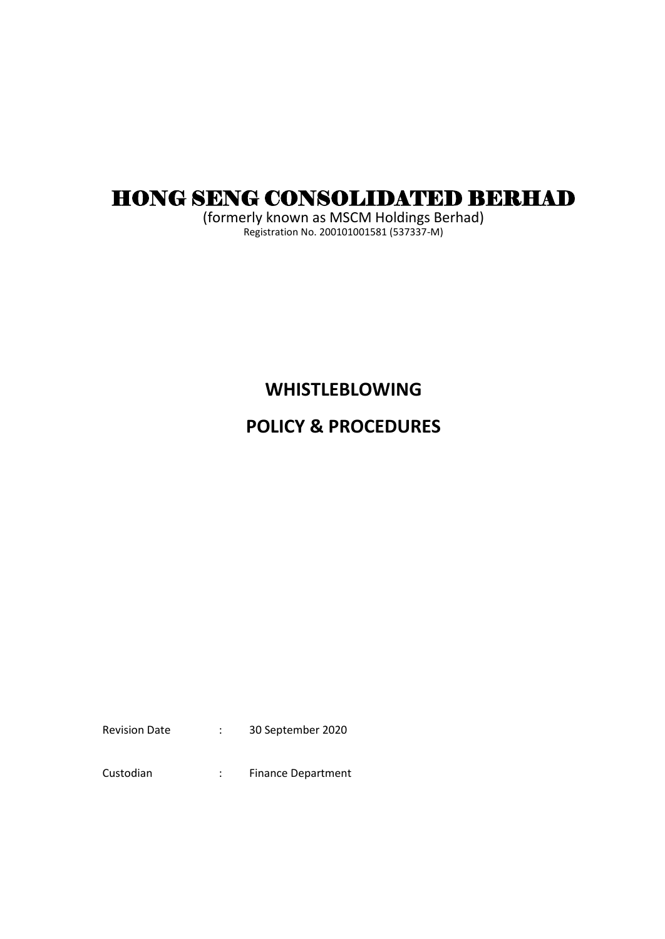# HONG SENG CONSOLIDATED BERHAD

(formerly known as MSCM Holdings Berhad) Registration No. 200101001581 (537337-M)

## **WHISTLEBLOWING**

# **POLICY & PROCEDURES**

Revision Date : 30 September 2020

Custodian : Finance Department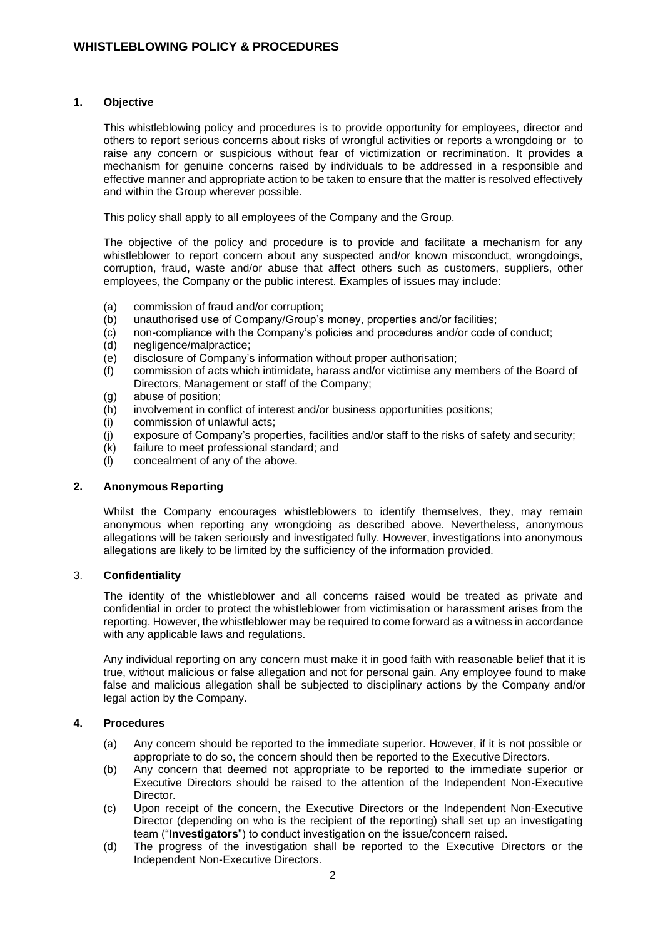#### **1. Objective**

This whistleblowing policy and procedures is to provide opportunity for employees, director and others to report serious concerns about risks of wrongful activities or reports a wrongdoing or to raise any concern or suspicious without fear of victimization or recrimination. It provides a mechanism for genuine concerns raised by individuals to be addressed in a responsible and effective manner and appropriate action to be taken to ensure that the matter is resolved effectively and within the Group wherever possible.

This policy shall apply to all employees of the Company and the Group.

The objective of the policy and procedure is to provide and facilitate a mechanism for any whistleblower to report concern about any suspected and/or known misconduct, wrongdoings, corruption, fraud, waste and/or abuse that affect others such as customers, suppliers, other employees, the Company or the public interest. Examples of issues may include:

- (a) commission of fraud and/or corruption;
- (b) unauthorised use of Company/Group's money, properties and/or facilities;
- (c) non-compliance with the Company's policies and procedures and/or code of conduct;
- (d) negligence/malpractice;
- (e) disclosure of Company's information without proper authorisation;
- (f) commission of acts which intimidate, harass and/or victimise any members of the Board of Directors, Management or staff of the Company;
- (g) abuse of position;
- (h) involvement in conflict of interest and/or business opportunities positions;
- (i) commission of unlawful acts;
- (j) exposure of Company's properties, facilities and/or staff to the risks of safety and security;
- (k) failure to meet professional standard; and
- (l) concealment of any of the above.

### **2. Anonymous Reporting**

Whilst the Company encourages whistleblowers to identify themselves, they, may remain anonymous when reporting any wrongdoing as described above. Nevertheless, anonymous allegations will be taken seriously and investigated fully. However, investigations into anonymous allegations are likely to be limited by the sufficiency of the information provided.

### 3. **Confidentiality**

The identity of the whistleblower and all concerns raised would be treated as private and confidential in order to protect the whistleblower from victimisation or harassment arises from the reporting. However, the whistleblower may be required to come forward as a witness in accordance with any applicable laws and regulations.

Any individual reporting on any concern must make it in good faith with reasonable belief that it is true, without malicious or false allegation and not for personal gain. Any employee found to make false and malicious allegation shall be subjected to disciplinary actions by the Company and/or legal action by the Company.

#### **4. Procedures**

- (a) Any concern should be reported to the immediate superior. However, if it is not possible or appropriate to do so, the concern should then be reported to the Executive Directors.
- (b) Any concern that deemed not appropriate to be reported to the immediate superior or Executive Directors should be raised to the attention of the Independent Non-Executive Director.
- (c) Upon receipt of the concern, the Executive Directors or the Independent Non-Executive Director (depending on who is the recipient of the reporting) shall set up an investigating team ("**Investigators**") to conduct investigation on the issue/concern raised.
- (d) The progress of the investigation shall be reported to the Executive Directors or the Independent Non-Executive Directors.